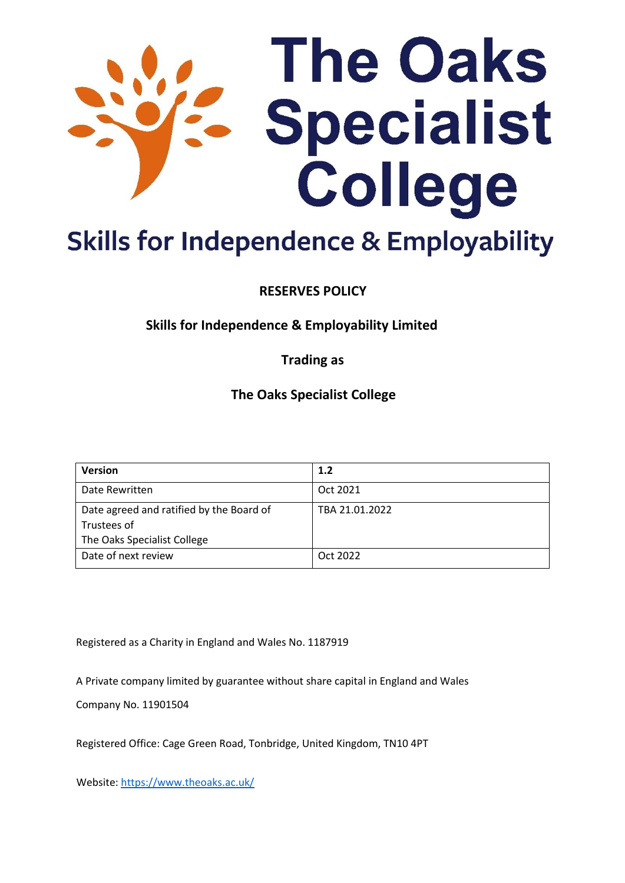

# **Skills for Independence & Employability**

**RESERVES POLICY** 

**Skills for Independence & Employability Limited** 

**Trading as** 

**The Oaks Specialist College** 

| <b>Version</b>                           | 1.2            |
|------------------------------------------|----------------|
| Date Rewritten                           | Oct 2021       |
| Date agreed and ratified by the Board of | TBA 21.01.2022 |
| Trustees of                              |                |
| The Oaks Specialist College              |                |
| Date of next review                      | Oct 2022       |

Registered as a Charity in England and Wales No. 1187919

A Private company limited by guarantee without share capital in England and Wales

Company No. 11901504

Registered Office: Cage Green Road, Tonbridge, United Kingdom, TN10 4PT

Website: [https://www.theoaks.ac.uk](https://www.theoaks.ac.uk/)[/](https://www.oakley.ac.uk/)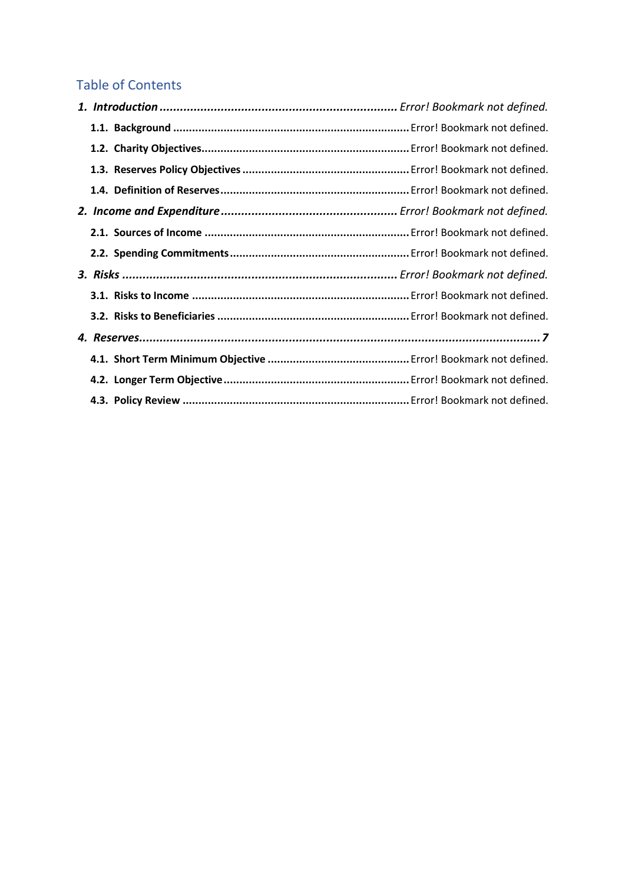# Table of Contents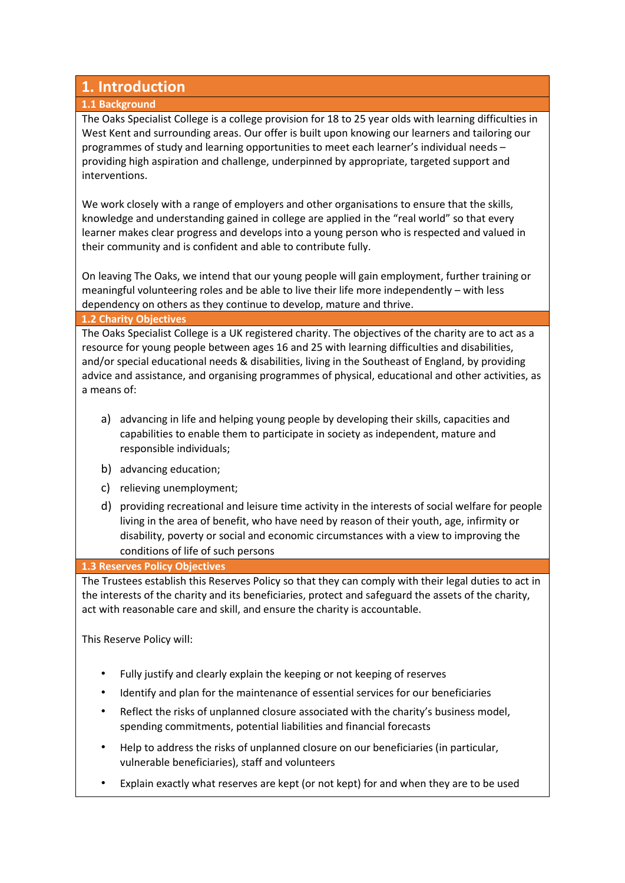# **1. Introduction**

#### **1.1 Background**

The Oaks Specialist College is a college provision for 18 to 25 year olds with learning difficulties in West Kent and surrounding areas. Our offer is built upon knowing our learners and tailoring our programmes of study and learning opportunities to meet each learner's individual needs – providing high aspiration and challenge, underpinned by appropriate, targeted support and interventions.

We work closely with a range of employers and other organisations to ensure that the skills, knowledge and understanding gained in college are applied in the "real world" so that every learner makes clear progress and develops into a young person who is respected and valued in their community and is confident and able to contribute fully.

On leaving The Oaks, we intend that our young people will gain employment, further training or meaningful volunteering roles and be able to live their life more independently – with less dependency on others as they continue to develop, mature and thrive.

#### **1.2 Charity Objectives**

The Oaks Specialist College is a UK registered charity. The objectives of the charity are to act as a resource for young people between ages 16 and 25 with learning difficulties and disabilities, and/or special educational needs & disabilities, living in the Southeast of England, by providing advice and assistance, and organising programmes of physical, educational and other activities, as a means of:

- a) advancing in life and helping young people by developing their skills, capacities and capabilities to enable them to participate in society as independent, mature and responsible individuals;
- b) advancing education;
- c) relieving unemployment;
- d) providing recreational and leisure time activity in the interests of social welfare for people living in the area of benefit, who have need by reason of their youth, age, infirmity or disability, poverty or social and economic circumstances with a view to improving the conditions of life of such persons

#### **1.3 Reserves Policy Objectives**

The Trustees establish this Reserves Policy so that they can comply with their legal duties to act in the interests of the charity and its beneficiaries, protect and safeguard the assets of the charity, act with reasonable care and skill, and ensure the charity is accountable.

This Reserve Policy will:

- Fully justify and clearly explain the keeping or not keeping of reserves
- Identify and plan for the maintenance of essential services for our beneficiaries
- Reflect the risks of unplanned closure associated with the charity's business model, spending commitments, potential liabilities and financial forecasts
- Help to address the risks of unplanned closure on our beneficiaries (in particular, vulnerable beneficiaries), staff and volunteers
- Explain exactly what reserves are kept (or not kept) for and when they are to be used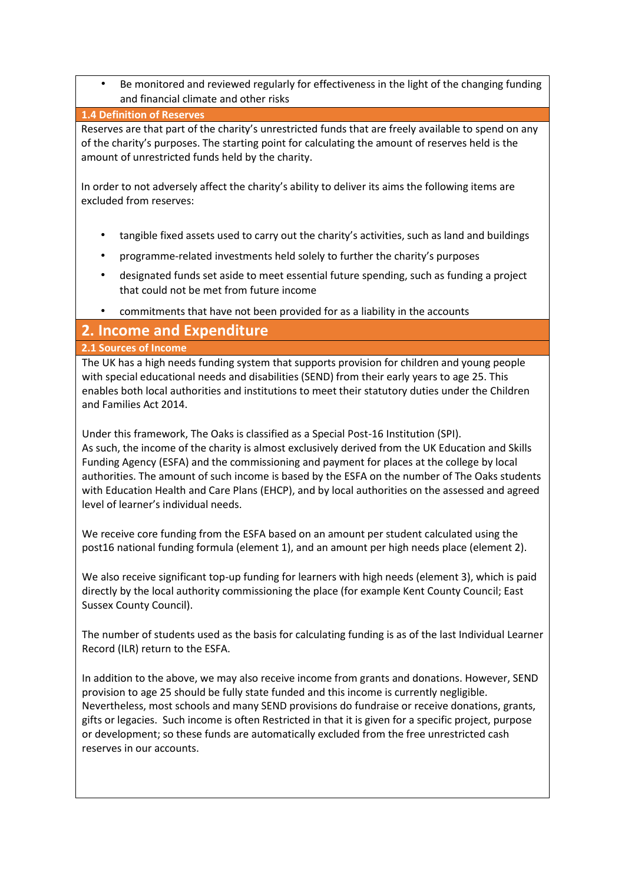• Be monitored and reviewed regularly for effectiveness in the light of the changing funding and financial climate and other risks

#### **1.4 Definition of Reserves**

Reserves are that part of the charity's unrestricted funds that are freely available to spend on any of the charity's purposes. The starting point for calculating the amount of reserves held is the amount of unrestricted funds held by the charity.

In order to not adversely affect the charity's ability to deliver its aims the following items are excluded from reserves:

- tangible fixed assets used to carry out the charity's activities, such as land and buildings
- programme-related investments held solely to further the charity's purposes
- designated funds set aside to meet essential future spending, such as funding a project that could not be met from future income
- commitments that have not been provided for as a liability in the accounts

## **2. Income and Expenditure**

#### **2.1 Sources of Income**

The UK has a high needs funding system that supports provision for children and young people with special educational needs and disabilities (SEND) from their early years to age 25. This enables both local authorities and institutions to meet their statutory duties under the Children and Families Act 2014.

Under this framework, The Oaks is classified as a Special Post-16 Institution (SPI). As such, the income of the charity is almost exclusively derived from the UK Education and Skills Funding Agency (ESFA) and the commissioning and payment for places at the college by local authorities. The amount of such income is based by the ESFA on the number of The Oaks students with Education Health and Care Plans (EHCP), and by local authorities on the assessed and agreed level of learner's individual needs.

We receive core funding from the ESFA based on an amount per student calculated using the post16 national funding formula (element 1), and an amount per high needs place (element 2).

We also receive significant top-up funding for learners with high needs (element 3), which is paid directly by the local authority commissioning the place (for example Kent County Council; East Sussex County Council).

The number of students used as the basis for calculating funding is as of the last Individual Learner Record (ILR) return to the ESFA.

In addition to the above, we may also receive income from grants and donations. However, SEND provision to age 25 should be fully state funded and this income is currently negligible. Nevertheless, most schools and many SEND provisions do fundraise or receive donations, grants, gifts or legacies. Such income is often Restricted in that it is given for a specific project, purpose or development; so these funds are automatically excluded from the free unrestricted cash reserves in our accounts.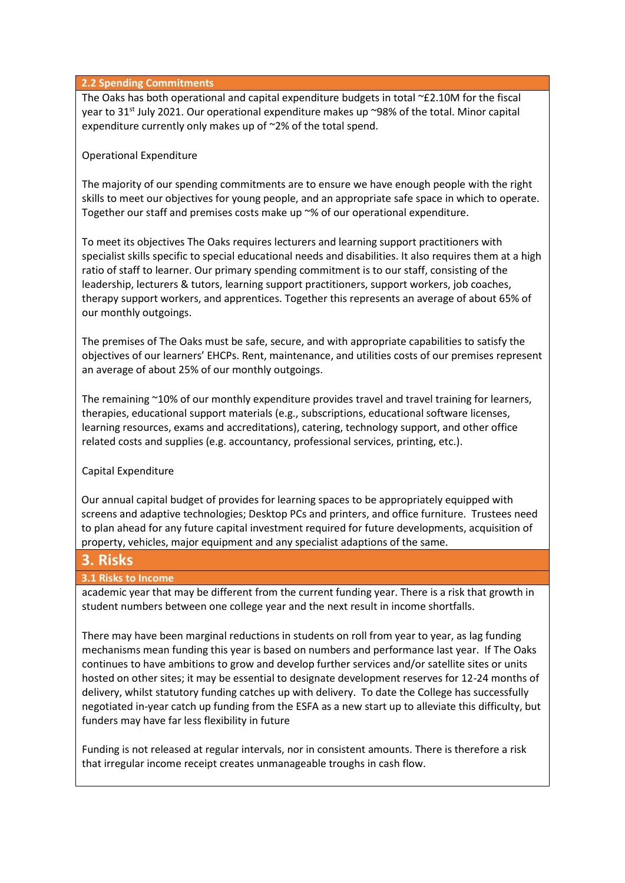#### **2.2 Spending Commitments**

The Oaks has both operational and capital expenditure budgets in total ~£2.10M for the fiscal year to 31<sup>st</sup> July 2021. Our operational expenditure makes up ~98% of the total. Minor capital expenditure currently only makes up of ~2% of the total spend.

#### Operational Expenditure

The majority of our spending commitments are to ensure we have enough people with the right skills to meet our objectives for young people, and an appropriate safe space in which to operate. Together our staff and premises costs make up ~% of our operational expenditure.

To meet its objectives The Oaks requires lecturers and learning support practitioners with specialist skills specific to special educational needs and disabilities. It also requires them at a high ratio of staff to learner. Our primary spending commitment is to our staff, consisting of the leadership, lecturers & tutors, learning support practitioners, support workers, job coaches, therapy support workers, and apprentices. Together this represents an average of about 65% of our monthly outgoings.

The premises of The Oaks must be safe, secure, and with appropriate capabilities to satisfy the objectives of our learners' EHCPs. Rent, maintenance, and utilities costs of our premises represent an average of about 25% of our monthly outgoings.

The remaining ~10% of our monthly expenditure provides travel and travel training for learners, therapies, educational support materials (e.g., subscriptions, educational software licenses, learning resources, exams and accreditations), catering, technology support, and other office related costs and supplies (e.g. accountancy, professional services, printing, etc.).

#### Capital Expenditure

Our annual capital budget of provides for learning spaces to be appropriately equipped with screens and adaptive technologies; Desktop PCs and printers, and office furniture. Trustees need to plan ahead for any future capital investment required for future developments, acquisition of property, vehicles, major equipment and any specialist adaptions of the same.

### **3. Risks**

#### **3.1 Risks to Income**

academic year that may be different from the current funding year. There is a risk that growth in student numbers between one college year and the next result in income shortfalls.

There may have been marginal reductions in students on roll from year to year, as lag funding mechanisms mean funding this year is based on numbers and performance last year. If The Oaks continues to have ambitions to grow and develop further services and/or satellite sites or units hosted on other sites; it may be essential to designate development reserves for 12-24 months of delivery, whilst statutory funding catches up with delivery. To date the College has successfully negotiated in-year catch up funding from the ESFA as a new start up to alleviate this difficulty, but funders may have far less flexibility in future

Funding is not released at regular intervals, nor in consistent amounts. There is therefore a risk that irregular income receipt creates unmanageable troughs in cash flow.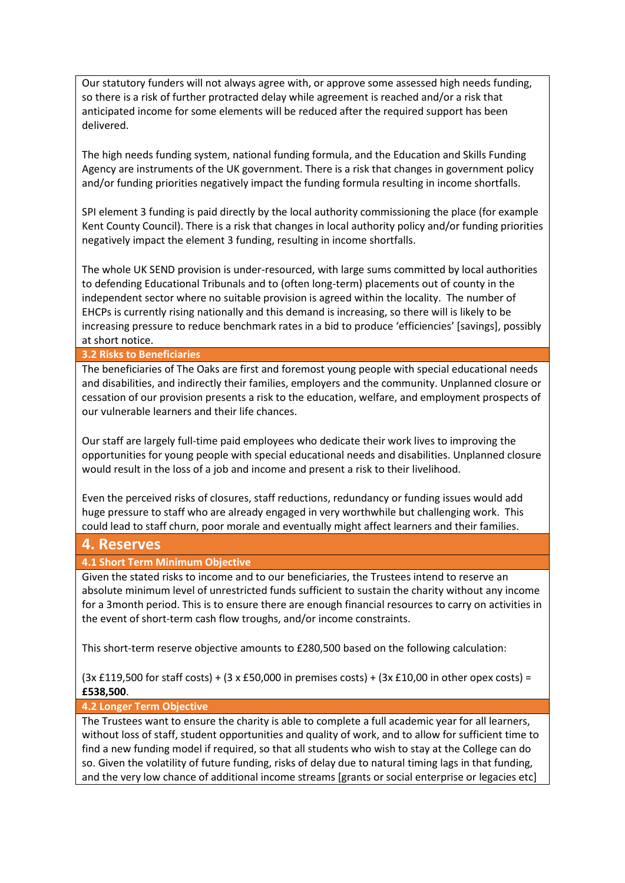Our statutory funders will not always agree with, or approve some assessed high needs funding, so there is a risk of further protracted delay while agreement is reached and/or a risk that anticipated income for some elements will be reduced after the required support has been delivered.

The high needs funding system, national funding formula, and the Education and Skills Funding Agency are instruments of the UK government. There is a risk that changes in government policy and/or funding priorities negatively impact the funding formula resulting in income shortfalls.

SPI element 3 funding is paid directly by the local authority commissioning the place (for example Kent County Council). There is a risk that changes in local authority policy and/or funding priorities negatively impact the element 3 funding, resulting in income shortfalls.

The whole UK SEND provision is under-resourced, with large sums committed by local authorities to defending Educational Tribunals and to (often long-term) placements out of county in the independent sector where no suitable provision is agreed within the locality. The number of EHCPs is currently rising nationally and this demand is increasing, so there will is likely to be increasing pressure to reduce benchmark rates in a bid to produce 'efficiencies' [savings], possibly at short notice.

#### **3.2 Risks to Beneficiaries**

The beneficiaries of The Oaks are first and foremost young people with special educational needs and disabilities, and indirectly their families, employers and the community. Unplanned closure or cessation of our provision presents a risk to the education, welfare, and employment prospects of our vulnerable learners and their life chances.

Our staff are largely full-time paid employees who dedicate their work lives to improving the opportunities for young people with special educational needs and disabilities. Unplanned closure would result in the loss of a job and income and present a risk to their livelihood.

Even the perceived risks of closures, staff reductions, redundancy or funding issues would add huge pressure to staff who are already engaged in very worthwhile but challenging work. This could lead to staff churn, poor morale and eventually might affect learners and their families.

#### **4. Reserves**

**4.1 Short Term Minimum Objective**

Given the stated risks to income and to our beneficiaries, the Trustees intend to reserve an absolute minimum level of unrestricted funds sufficient to sustain the charity without any income for a 3month period. This is to ensure there are enough financial resources to carry on activities in the event of short-term cash flow troughs, and/or income constraints.

This short-term reserve objective amounts to £280,500 based on the following calculation:

 $(3x \text{ f119},500 \text{ for staff costs}) + (3 \text{ x f50},000 \text{ in premises costs}) + (3x \text{ f10},00 \text{ in other opens costs}) =$ **£538,500**.

#### **4.2 Longer Term Objective**

The Trustees want to ensure the charity is able to complete a full academic year for all learners, without loss of staff, student opportunities and quality of work, and to allow for sufficient time to find a new funding model if required, so that all students who wish to stay at the College can do so. Given the volatility of future funding, risks of delay due to natural timing lags in that funding, and the very low chance of additional income streams [grants or social enterprise or legacies etc]